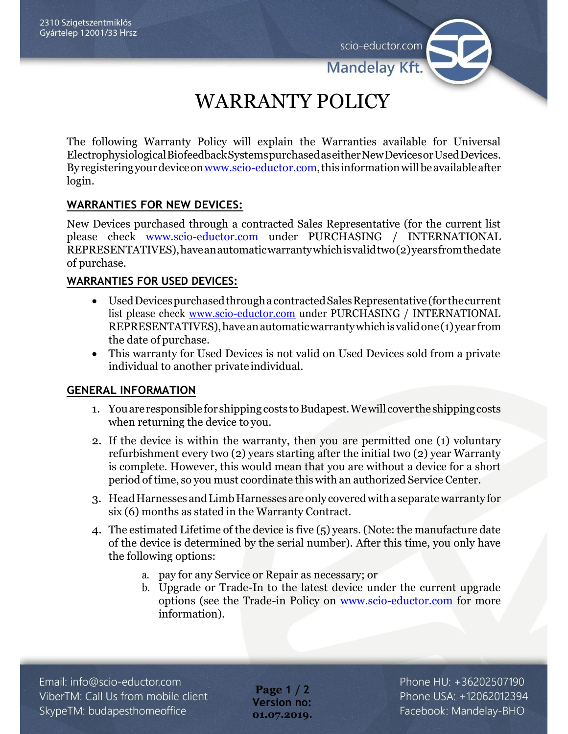scio-eductor.com

**Mandelay Kf** 

# WARRANTY POLICY

The following Warranty Policy will explain the Warranties available for Universal ElectrophysiologicalBiofeedbackSystemspurchasedaseitherNewDevicesorUsedDevices. By registering your device on www.scio-eductor.com, this information will be available after login.

## **WARRANTIES FOR NEW DEVICES:**

New Devices purchased through a contracted Sales Representative (for the current list please check [www.scio-eductor.com](http://www.scio-eductor.com/) under PURCHASING / INTERNATIONAL REPRESENTATIVES),haveanautomaticwarrantywhichisvalidtwo(2)yearsfromthedate of purchase.

### **WARRANTIES FOR USED DEVICES:**

- UsedDevicespurchasedthroughacontractedSalesRepresentative(for thecurrent list please check [www.scio-eductor.com](http://www.scio-eductor.com/) under PURCHASING / INTERNATIONAL REPRESENTATIVES),haveanautomaticwarrantywhichisvalidone(1)year from the date of purchase.
- This warranty for Used Devices is not valid on Used Devices sold from a private individual to another private individual.

### **GENERAL INFORMATION**

- 1. You are responsible for shipping costs to Budapest. We will cover the shipping costs when returning the device to you.
- 2. If the device is within the warranty, then you are permitted one (1) voluntary refurbishment every two (2) years starting after the initial two (2) year Warranty is complete. However, this would mean that you are without a device for a short period of time, so you must coordinate this with an authorized Service Center.
- 3. HeadHarnesses andLimbHarnesses areonly coveredwithaseparatewarrantyfor six (6) months as stated in the Warranty Contract.
- 4. The estimated Lifetime of the device is five (5) years. (Note: the manufacture date of the device is determined by the serial number). After this time, you only have the following options:
	- a. pay for any Service or Repair as necessary; or
	- b. Upgrade or Trade-In to the latest device under the current upgrade options (see the Trade-in Policy on [www.scio-eductor.com](http://www.scio-eductor.com/) for more information).

**Page 1 / 2 Version no: 01.07.2019.** Phone HU: +36202507190 Phone USA: +12062012394 Facebook: Mandelay-BHO